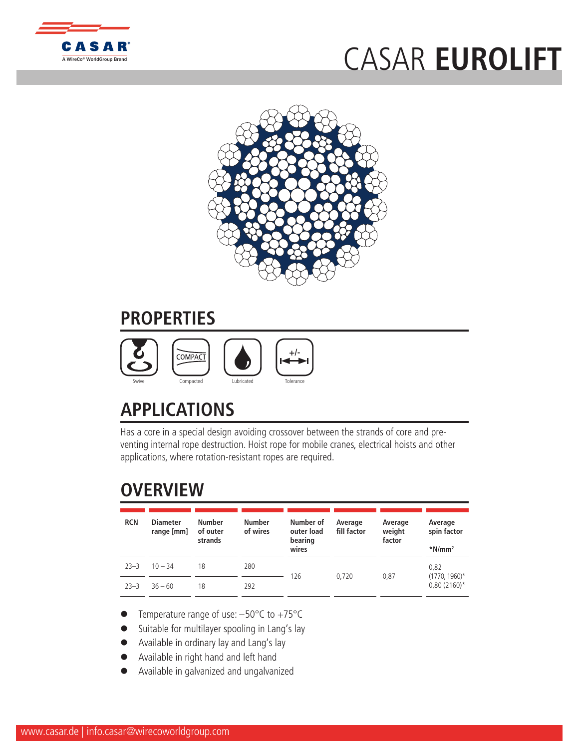

## CASAR **[EUROLIFT](http://www.WireCoWorldGroup.com)**



## **PROPERTIES**



## **APPLICATIONS**

Has a core in a special design avoiding crossover between the strands of core and preventing internal rope destruction. Hoist rope for mobile cranes, electrical hoists and other applications, where rotation-resistant ropes are required.

## **OVERVIEW**

| <b>RCN</b> | <b>Diameter</b><br>range [mm] | <b>Number</b><br>of outer<br>strands | <b>Number</b><br>of wires | Number of<br>outer load<br>bearing<br>wires | Average<br>fill factor | Average<br>weight<br>factor | Average<br>spin factor<br>$*$ N/mm <sup>2</sup> |  |
|------------|-------------------------------|--------------------------------------|---------------------------|---------------------------------------------|------------------------|-----------------------------|-------------------------------------------------|--|
| $23 - 3$   | $10 - 34$                     | 18                                   | 280                       | 126                                         |                        |                             | 0,82<br>$(1770, 1960)^*$                        |  |
| $23 - 3$   | $36 - 60$                     | 18                                   | 292                       |                                             | 0.720                  | 0.87                        | $0,80(2160)^*$                                  |  |

- Temperature range of use:  $-50^{\circ}$ C to  $+75^{\circ}$ C
- Suitable for multilayer spooling in Lang's lay
- Available in ordinary lay and Lang's lay
- l Available in right hand and left hand
- l Available in galvanized and ungalvanized